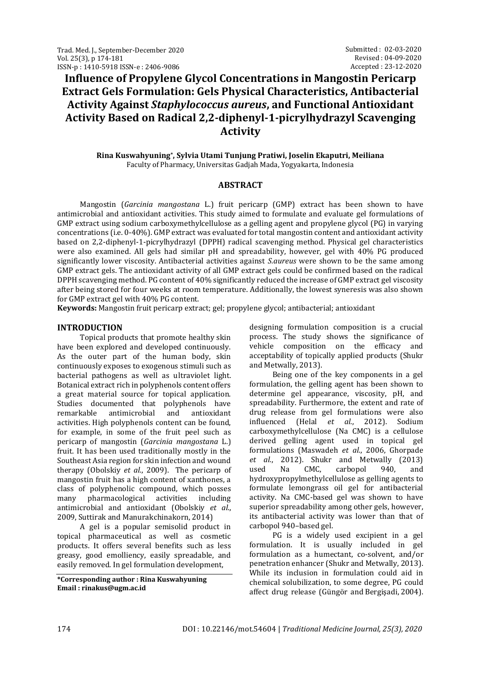# **Influence of Propylene Glycol Concentrations in Mangostin Pericarp Extract Gels Formulation: Gels Physical Characteristics, Antibacterial Activity Against** *Staphylococcus aureus***, and Functional Antioxidant Activity Based on Radical 2,2-diphenyl-1-picrylhydrazyl Scavenging Activity**

## **Rina Kuswahyuning\* , Sylvia Utami Tunjung Pratiwi, Joselin Ekaputri, Meiliana** Faculty of Pharmacy, Universitas Gadjah Mada, Yogyakarta, Indonesia

## **ABSTRACT**

Mangostin (*Garcinia mangostana* L.) fruit pericarp (GMP) extract has been shown to have antimicrobial and antioxidant activities. This study aimed to formulate and evaluate gel formulations of GMP extract using sodium carboxymethylcellulose as a gelling agent and propylene glycol (PG) in varying concentrations (i.e. 0-40%). GMP extract was evaluated for total mangostin content and antioxidant activity based on 2,2-diphenyl-1-picrylhydrazyl (DPPH) radical scavenging method. Physical gel characteristics were also examined. All gels had similar pH and spreadability, however, gel with 40% PG produced significantly lower viscosity. Antibacterial activities against *S.aureus* were shown to be the same among GMP extract gels. The antioxidant activity of all GMP extract gels could be confirmed based on the radical DPPH scavenging method. PG content of 40% significantly reduced the increase of GMP extract gel viscosity after being stored for four weeks at room temperature. Additionally, the lowest syneresis was also shown for GMP extract gel with 40% PG content.

**Keywords:** Mangostin fruit pericarp extract; gel; propylene glycol; antibacterial; antioxidant

## **INTRODUCTION**

Topical products that promote healthy skin have been explored and developed continuously. As the outer part of the human body, skin continuously exposes to exogenous stimuli such as bacterial pathogens as well as ultraviolet light. Botanical extract rich in polyphenols content offers a great material source for topical application. Studies documented that polyphenols have remarkable antimicrobial and antioxidant activities. High polyphenols content can be found, for example, in some of the fruit peel such as pericarp of mangostin (*Garcinia mangostana* L.) fruit. It has been used traditionally mostly in the Southeast Asia region for skin infection and wound therapy (Obolskiy *et al.*, 2009). The pericarp of mangostin fruit has a high content of xanthones, a class of polyphenolic compound, which posses many pharmacological activities including antimicrobial and antioxidant (Obolskiy *et al.*, 2009, Suttirak and Manurakchinakorn, 2014)

A gel is a popular semisolid product in topical pharmaceutical as well as cosmetic products. It offers several benefits such as less greasy, good emolliency, easily spreadable, and easily removed. In gel formulation development,

**\*Corresponding author : Rina Kuswahyuning Email : rinakus@ugm.ac.id**

designing formulation composition is a crucial process. The study shows the significance of vehicle composition on the efficacy and acceptability of topically applied products (Shukr and Metwally, 2013).

Being one of the key components in a gel formulation, the gelling agent has been shown to determine gel appearance, viscosity, pH, and spreadability. Furthermore, the extent and rate of drug release from gel formulations were also influenced (Helal *et al.*, 2012). Sodium carboxymethylcellulose (Na CMC) is a cellulose derived gelling agent used in topical gel formulations (Maswadeh *et al.*, 2006, Ghorpade *et al.*, 2012). Shukr and Metwally (2013) used Na CMC, carbopol 940, and hydroxypropylmethylcellulose as gelling agents to formulate lemongrass oil gel for antibacterial activity. Na CMC-based gel was shown to have superior spreadability among other gels, however, its antibacterial activity was lower than that of carbopol 940–based gel.

PG is a widely used excipient in a gel formulation. It is usually included in gel formulation as a humectant, co-solvent, and/or penetration enhancer (Shukr and Metwally, 2013). While its inclusion in formulation could aid in chemical solubilization, to some degree, PG could affect drug release (Güngör and Bergişadi, 2004).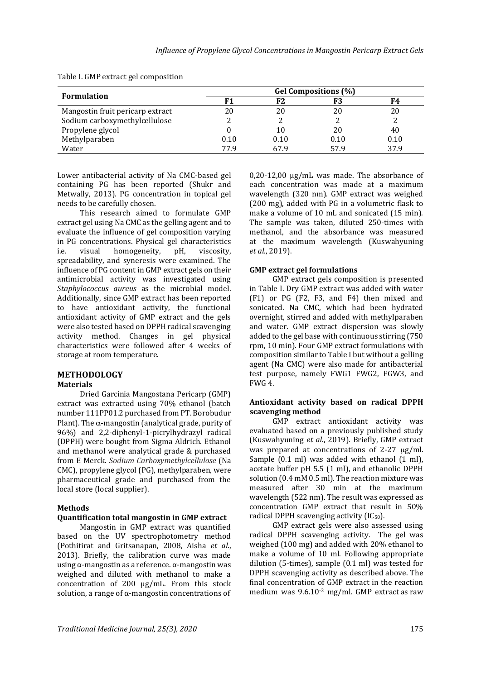| <b>Formulation</b>               | Gel Compositions (%) |      |      |      |
|----------------------------------|----------------------|------|------|------|
|                                  |                      |      |      | F4   |
| Mangostin fruit pericarp extract | 20                   | 20   | 20   | 20   |
| Sodium carboxymethylcellulose    |                      |      |      |      |
| Propylene glycol                 |                      | 10   | 20   | 40   |
| Methylparaben                    | 0.10                 | 0.10 | 0.10 | 0.10 |
| Water                            | 77 9                 | 679  | 57.9 | 37.9 |

Table I. GMP extract gel composition

Lower antibacterial activity of Na CMC-based gel containing PG has been reported (Shukr and Metwally, 2013). PG concentration in topical gel needs to be carefully chosen.

This research aimed to formulate GMP extract gel using Na CMC as the gelling agent and to evaluate the influence of gel composition varying in PG concentrations. Physical gel characteristics i.e. visual homogeneity, pH, viscosity, spreadability, and syneresis were examined. The influence of PG content in GMP extract gels on their antimicrobial activity was investigated using *Staphylococcus aureus* as the microbial model. Additionally, since GMP extract has been reported to have antioxidant activity, the functional antioxidant activity of GMP extract and the gels were also tested based on DPPH radical scavenging activity method. Changes in gel physical characteristics were followed after 4 weeks of storage at room temperature.

# **METHODOLOGY**

## **Materials**

Dried Garcinia Mangostana Pericarp (GMP) extract was extracted using 70% ethanol (batch number 111PP01.2 purchased from PT. Borobudur Plant). The  $\alpha$ -mangostin (analytical grade, purity of 96%) and 2,2-diphenyl-1-picrylhydrazyl radical (DPPH) were bought from Sigma Aldrich. Ethanol and methanol were analytical grade & purchased from E Merck. *Sodium Carboxymethylcellulose* (Na CMC), propylene glycol (PG), methylparaben*,* were pharmaceutical grade and purchased from the local store (local supplier).

#### **Methods**

#### **Quantification total mangostin in GMP extract**

Mangostin in GMP extract was quantified based on the UV spectrophotometry method (Pothitirat and Gritsanapan, 2008, Aisha *et al.*, 2013). Briefly, the calibration curve was made using α-mangostin as a reference.  $α$ -mangostin was weighed and diluted with methanol to make a concentration of 200 µg/mL. From this stock solution, a range of α-mangostin concentrations of

 $0.20$ -12,00  $\mu$ g/mL was made. The absorbance of each concentration was made at a maximum wavelength (320 nm). GMP extract was weighed (200 mg), added with PG in a volumetric flask to make a volume of 10 mL and sonicated (15 min). The sample was taken, diluted 250-times with methanol, and the absorbance was measured at the maximum wavelength (Kuswahyuning *et al.*, 2019).

#### **GMP extract gel formulations**

GMP extract gels composition is presented in Table I. Dry GMP extract was added with water (F1) or PG (F2, F3, and F4) then mixed and sonicated. Na CMC, which had been hydrated overnight, stirred and added with methylparaben and water. GMP extract dispersion was slowly added to the gel base with continuous stirring (750 rpm, 10 min). Four GMP extract formulations with composition similar to Table I but without a gelling agent (Na CMC) were also made for antibacterial test purpose, namely FWG1 FWG2, FGW3, and FWG 4.

#### **Antioxidant activity based on radical DPPH scavenging method**

GMP extract antioxidant activity was evaluated based on a previously published study (Kuswahyuning *et al.*, 2019). Briefly, GMP extract was prepared at concentrations of  $2-27 \mu g/ml$ . Sample (0.1 ml) was added with ethanol (1 ml), acetate buffer pH 5.5 (1 ml), and ethanolic DPPH solution (0.4 mM 0.5 ml). The reaction mixture was measured after 30 min at the maximum wavelength (522 nm). The result was expressed as concentration GMP extract that result in 50% radical DPPH scavenging activity (IC<sub>50</sub>).

GMP extract gels were also assessed using radical DPPH scavenging activity. The gel was weighed (100 mg) and added with 20% ethanol to make a volume of 10 ml. Following appropriate dilution (5-times), sample (0.1 ml) was tested for DPPH scavenging activity as described above. The final concentration of GMP extract in the reaction medium was 9.6.10-3 mg/ml. GMP extract as raw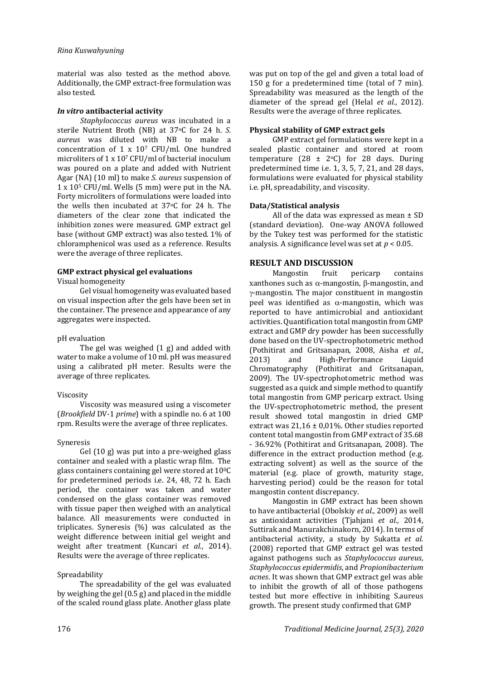material was also tested as the method above. Additionally, the GMP extract-free formulation was also tested.

#### *In vitro* **antibacterial activity**

*Staphylococcus aureus* was incubated in a sterile Nutrient Broth (NB) at 37oC for 24 h. *S. aureus* was diluted with NB to make a concentration of 1 x 10<sup>7</sup> CFU/ml. One hundred microliters of 1 x 10<sup>7</sup> CFU/ml of bacterial inoculum was poured on a plate and added with Nutrient Agar (NA) (10 ml) to make *S. aureus* suspension of 1 x 10<sup>5</sup> CFU/ml. Wells (5 mm) were put in the NA. Forty microliters of formulations were loaded into the wells then incubated at 37oC for 24 h. The diameters of the clear zone that indicated the inhibition zones were measured. GMP extract gel base (without GMP extract) was also tested. 1% of chloramphenicol was used as a reference. Results were the average of three replicates.

#### **GMP extract physical gel evaluations**

Visual homogeneity

Gel visual homogeneity was evaluated based on visual inspection after the gels have been set in the container. The presence and appearance of any aggregates were inspected.

#### pH evaluation

The gel was weighed (1 g) and added with water to make a volume of 10 ml. pH was measured using a calibrated pH meter. Results were the average of three replicates.

#### Viscosity

Viscosity was measured using a viscometer (*Brookfield* DV-1 *prime*) with a spindle no. 6 at 100 rpm. Results were the average of three replicates.

#### Syneresis

Gel (10 g) was put into a pre-weighed glass container and sealed with a plastic wrap film. The glass containers containing gel were stored at  $10^{0}$ C for predetermined periods i.e. 24, 48, 72 h. Each period, the container was taken and water condensed on the glass container was removed with tissue paper then weighed with an analytical balance. All measurements were conducted in triplicates. Syneresis (%) was calculated as the weight difference between initial gel weight and weight after treatment (Kuncari *et al.*, 2014). Results were the average of three replicates.

#### Spreadability

The spreadability of the gel was evaluated by weighing the gel (0.5 g) and placed in the middle of the scaled round glass plate. Another glass plate was put on top of the gel and given a total load of 150 g for a predetermined time (total of 7 min). Spreadability was measured as the length of the diameter of the spread gel (Helal *et al.*, 2012). Results were the average of three replicates.

## **Physical stability of GMP extract gels**

GMP extract gel formulations were kept in a sealed plastic container and stored at room temperature (28  $\pm$  2°C) for 28 days. During predetermined time i.e. 1, 3, 5, 7, 21, and 28 days, formulations were evaluated for physical stability i.e. pH, spreadability, and viscosity.

#### **Data/Statistical analysis**

All of the data was expressed as mean ± SD (standard deviation). One-way ANOVA followed by the Tukey test was performed for the statistic analysis. A significance level was set at *p* < 0.05.

# **RESULT AND DISCUSSION**

Mangostin fruit pericarp contains xanthones such as  $\alpha$ -mangostin,  $\beta$ -mangostin, and  $\gamma$ -mangostin. The major constituent in mangostin peel was identified as  $\alpha$ -mangostin, which was reported to have antimicrobial and antioxidant activities. Quantification total mangostin from GMP extract and GMP dry powder has been successfully done based on the UV-spectrophotometric method (Pothitirat and Gritsanapan, 2008, Aisha *et al.*, 2013) and High-Performance Liquid Chromatography (Pothitirat and Gritsanapan, 2009). The UV-spectrophotometric method was suggested as a quick and simple method to quantify total mangostin from GMP pericarp extract. Using the UV-spectrophotometric method, the present result showed total mangostin in dried GMP extract was 21,16 ± 0,01%. Other studies reported content total mangostin from GMP extract of 35.68 - 36.92% (Pothitirat and Gritsanapan, 2008). The difference in the extract production method (e.g. extracting solvent) as well as the source of the material (e.g. place of growth, maturity stage, harvesting period) could be the reason for total mangostin content discrepancy.

Mangostin in GMP extract has been shown to have antibacterial (Obolskiy *et al.*, 2009) as well as antioxidant activities (Tjahjani *et al.*, 2014, Suttirak and Manurakchinakorn, 2014). In terms of antibacterial activity, a study by Sukatta *et al.* (2008) reported that GMP extract gel was tested against pathogens such as *Staphylococcus aureus*, *Staphylococcus epidermidis*, and *Propionibacterium acnes*. It was shown that GMP extract gel was able to inhibit the growth of all of those pathogens tested but more effective in inhibiting S.aureus growth. The present study confirmed that GMP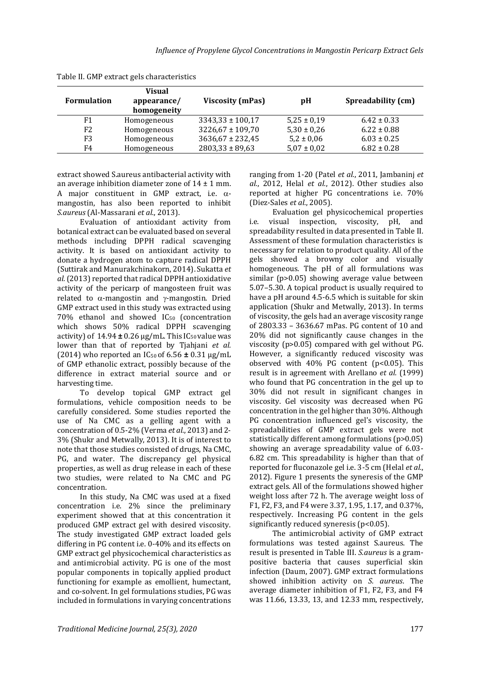| <b>Formulation</b> | <b>Visual</b><br>appearance/<br>homogeneity | <b>Viscosity (mPas)</b> | pH              | Spreadability (cm) |
|--------------------|---------------------------------------------|-------------------------|-----------------|--------------------|
| F <sub>1</sub>     | Homogeneous                                 | $3343,33 \pm 100,17$    | $5,25 \pm 0,19$ | $6.42 \pm 0.33$    |
| F <sub>2</sub>     | Homogeneous                                 | $3226,67 \pm 109,70$    | $5,30 \pm 0,26$ | $6.22 \pm 0.88$    |
| F3                 | Homogeneous                                 | $3636,67 \pm 232,45$    | $5,2 \pm 0,06$  | $6.03 \pm 0.25$    |
| F4                 | Homogeneous                                 | $2803,33 \pm 89,63$     | $5,07 \pm 0,02$ | $6.82 \pm 0.28$    |

Table II. GMP extract gels characteristics

extract showed S.aureus antibacterial activity with an average inhibition diameter zone of  $14 \pm 1$  mm. A major constituent in GMP extract, i.e.  $\alpha$ mangostin, has also been reported to inhibit *S.aureus* (Al-Massarani *et al.*, 2013).

Evaluation of antioxidant activity from botanical extract can be evaluated based on several methods including DPPH radical scavenging activity. It is based on antioxidant activity to donate a hydrogen atom to capture radical DPPH (Suttirak and Manurakchinakorn, 2014). Sukatta *et al.*(2013) reported that radical DPPH antioxidative activity of the pericarp of mangosteen fruit was related to  $\alpha$ -mangostin and  $\gamma$ -mangostin. Dried GMP extract used in this study was extracted using 70% ethanol and showed IC<sub>50</sub> (concentration which shows 50% radical DPPH scavenging activity) of  $14.94 \pm 0.26$  µg/mL. This IC<sub>50</sub> value was lower than that of reported by Tjahjani *et al.* (2014) who reported an IC50 of 6.56 **±** 0.31 µg/mL of GMP ethanolic extract, possibly because of the difference in extract material source and or harvesting time.

To develop topical GMP extract gel formulations, vehicle composition needs to be carefully considered. Some studies reported the use of Na CMC as a gelling agent with a concentration of 0.5-2% (Verma *et al.*, 2013) and 2- 3% (Shukr and Metwally, 2013). It is of interest to note that those studies consisted of drugs, Na CMC, PG, and water. The discrepancy gel physical properties, as well as drug release in each of these two studies, were related to Na CMC and PG concentration.

In this study, Na CMC was used at a fixed concentration i.e. 2% since the preliminary experiment showed that at this concentration it produced GMP extract gel with desired viscosity. The study investigated GMP extract loaded gels differing in PG content i.e. 0-40% and its effects on GMP extract gel physicochemical characteristics as and antimicrobial activity. PG is one of the most popular components in topically applied product functioning for example as emollient, humectant, and co-solvent. In gel formulations studies, PG was included in formulations in varying concentrations ranging from 1-20 (Patel *et al.*, 2011, Jambaninj *et al.*, 2012, Helal *et al.*, 2012). Other studies also reported at higher PG concentrations i.e. 70% (Diez-Sales *et al.*, 2005).

Evaluation gel physicochemical properties i.e. visual inspection, viscosity, pH, and spreadability resulted in data presented in Table II. Assessment of these formulation characteristics is necessary for relation to product quality. All of the gels showed a browny color and visually homogeneous. The pH of all formulations was similar (p>0.05) showing average value between 5.07–5.30. A topical product is usually required to have a pH around 4.5-6.5 which is suitable for skin application (Shukr and Metwally, 2013). In terms of viscosity, the gels had an average viscosity range of 2803.33 – 3636.67 mPas. PG content of 10 and 20% did not significantly cause changes in the viscosity (p>0.05) compared with gel without PG. However, a significantly reduced viscosity was observed with 40% PG content (p<0.05). This result is in agreement with Arellano *et al.* (1999) who found that PG concentration in the gel up to 30% did not result in significant changes in viscosity. Gel viscosity was decreased when PG concentration in the gel higher than 30%. Although PG concentration influenced gel's viscosity, the spreadabilities of GMP extract gels were not statistically different among formulations (p>0.05) showing an average spreadability value of 6.03- 6.82 cm. This spreadability is higher than that of reported for fluconazole gel i.e. 3-5 cm (Helal *et al.*, 2012). Figure 1 presents the syneresis of the GMP extract gels. All of the formulations showed higher weight loss after 72 h. The average weight loss of F1, F2, F3, and F4 were 3.37, 1.95, 1.17, and 0.37%, respectively. Increasing PG content in the gels significantly reduced syneresis (p<0.05).

The antimicrobial activity of GMP extract formulations was tested against S.aureus. The result is presented in Table III. *S.aureus* is a grampositive bacteria that causes superficial skin infection (Daum, 2007). GMP extract formulations showed inhibition activity on *S. aureus*. The average diameter inhibition of F1, F2, F3, and F4 was 11.66, 13.33, 13, and 12.33 mm, respectively,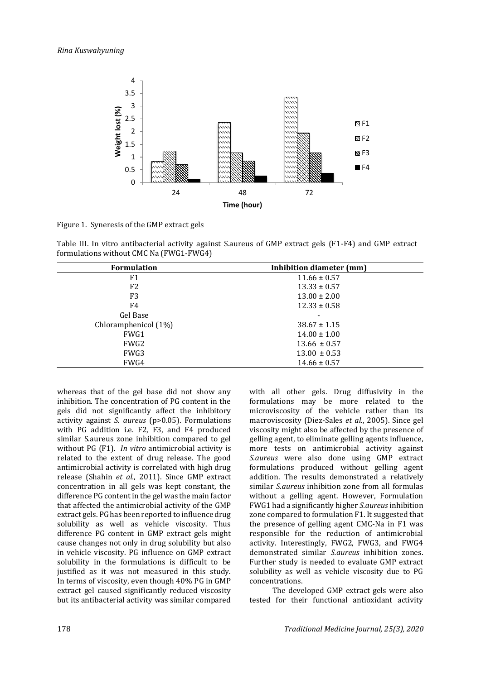

Figure 1. Syneresis of the GMP extract gels

Table III. In vitro antibacterial activity against S.aureus of GMP extract gels (F1-F4) and GMP extract formulations without CMC Na (FWG1-FWG4)

| <b>Formulation</b>   | Inhibition diameter (mm) |  |  |
|----------------------|--------------------------|--|--|
| F1                   | $11.66 \pm 0.57$         |  |  |
| F <sub>2</sub>       | $13.33 \pm 0.57$         |  |  |
| F <sub>3</sub>       | $13.00 \pm 2.00$         |  |  |
| F4                   | $12.33 \pm 0.58$         |  |  |
| Gel Base             |                          |  |  |
| Chloramphenicol (1%) | $38.67 \pm 1.15$         |  |  |
| FWG1                 | $14.00 \pm 1.00$         |  |  |
| FWG <sub>2</sub>     | $13.66 \pm 0.57$         |  |  |
| FWG3                 | $13.00 \pm 0.53$         |  |  |
| FWG4                 | $14.66 \pm 0.57$         |  |  |

whereas that of the gel base did not show any inhibition. The concentration of PG content in the gels did not significantly affect the inhibitory activity against *S. aureus* (p>0.05). Formulations with PG addition i.e. F2, F3, and F4 produced similar S.aureus zone inhibition compared to gel without PG (F1). *In vitro* antimicrobial activity is related to the extent of drug release. The good antimicrobial activity is correlated with high drug release (Shahin *et al.*, 2011). Since GMP extract concentration in all gels was kept constant, the difference PG content in the gel was the main factor that affected the antimicrobial activity of the GMP extract gels. PG has been reported to influence drug solubility as well as vehicle viscosity. Thus difference PG content in GMP extract gels might cause changes not only in drug solubility but also in vehicle viscosity. PG influence on GMP extract solubility in the formulations is difficult to be justified as it was not measured in this study. In terms of viscosity, even though 40% PG in GMP extract gel caused significantly reduced viscosity but its antibacterial activity was similar compared

with all other gels. Drug diffusivity in the formulations may be more related to the microviscosity of the vehicle rather than its macroviscosity (Diez-Sales *et al.*, 2005). Since gel viscosity might also be affected by the presence of gelling agent, to eliminate gelling agents influence, more tests on antimicrobial activity against *S.aureus* were also done using GMP extract formulations produced without gelling agent addition. The results demonstrated a relatively similar *S.aureus* inhibition zone from all formulas without a gelling agent. However, Formulation FWG1 had a significantly higher *S.aureus* inhibition zone compared to formulation F1. It suggested that the presence of gelling agent CMC-Na in F1 was responsible for the reduction of antimicrobial activity. Interestingly, FWG2, FWG3, and FWG4 demonstrated similar *S.aureus* inhibition zones. Further study is needed to evaluate GMP extract solubility as well as vehicle viscosity due to PG concentrations.

The developed GMP extract gels were also tested for their functional antioxidant activity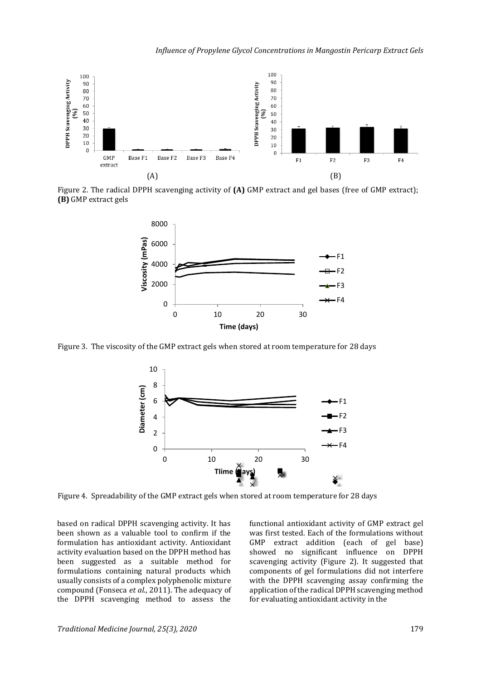

Figure 2. The radical DPPH scavenging activity of **(A)** GMP extract and gel bases (free of GMP extract); **(B)** GMP extract gels



Figure 3. The viscosity of the GMP extract gels when stored at room temperature for 28 days



Figure 4. Spreadability of the GMP extract gels when stored at room temperature for 28 days

based on radical DPPH scavenging activity. It has been shown as a valuable tool to confirm if the formulation has antioxidant activity. Antioxidant activity evaluation based on the DPPH method has been suggested as a suitable method for formulations containing natural products which usually consists of a complex polyphenolic mixture compound (Fonseca *et al.*, 2011). The adequacy of the DPPH scavenging method to assess the

functional antioxidant activity of GMP extract gel was first tested. Each of the formulations without GMP extract addition (each of gel base) showed no significant influence on DPPH scavenging activity (Figure 2). It suggested that components of gel formulations did not interfere with the DPPH scavenging assay confirming the application of the radical DPPH scavenging method for evaluating antioxidant activity in the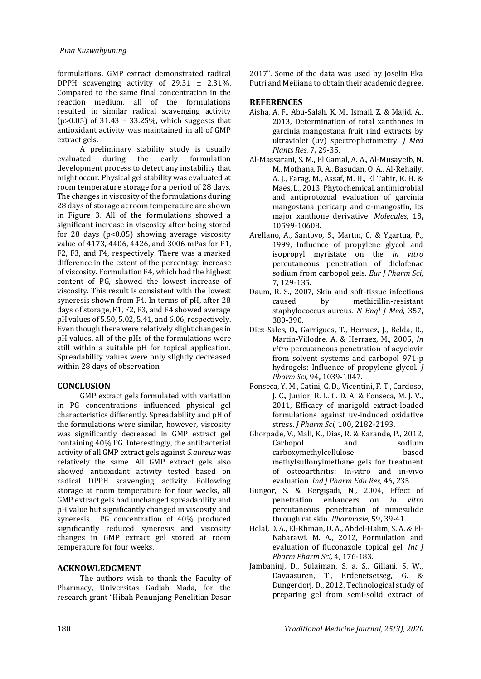formulations. GMP extract demonstrated radical DPPH scavenging activity of  $29.31 \pm 2.31\%$ . Compared to the same final concentration in the reaction medium, all of the formulations resulted in similar radical scavenging activity (p>0.05) of 31.43 – 33.25%, which suggests that antioxidant activity was maintained in all of GMP extract gels.

A preliminary stability study is usually<br>ted during the early formulation evaluated during the early formulation development process to detect any instability that might occur. Physical gel stability was evaluated at room temperature storage for a period of 28 days. The changes in viscosity of the formulations during 28 days of storage at room temperature are shown in Figure 3. All of the formulations showed a significant increase in viscosity after being stored for 28 days ( $p<0.05$ ) showing average viscosity value of 4173, 4406, 4426, and 3006 mPas for F1, F2, F3, and F4, respectively. There was a marked difference in the extent of the percentage increase of viscosity. Formulation F4, which had the highest content of PG, showed the lowest increase of viscosity. This result is consistent with the lowest syneresis shown from F4. In terms of pH, after 28 days of storage, F1, F2, F3, and F4 showed average pH values of 5.50, 5.02, 5.41, and 6.06, respectively. Even though there were relatively slight changes in pH values, all of the pHs of the formulations were still within a suitable pH for topical application. Spreadability values were only slightly decreased within 28 days of observation.

#### **CONCLUSION**

GMP extract gels formulated with variation in PG concentrations influenced physical gel characteristics differently. Spreadability and pH of the formulations were similar, however, viscosity was significantly decreased in GMP extract gel containing 40% PG. Interestingly, the antibacterial activity of all GMP extract gels against *S.aureus* was relatively the same. All GMP extract gels also showed antioxidant activity tested based on radical DPPH scavenging activity. Following storage at room temperature for four weeks, all GMP extract gels had unchanged spreadability and pH value but significantly changed in viscosity and syneresis. PG concentration of 40% produced significantly reduced syneresis and viscosity changes in GMP extract gel stored at room temperature for four weeks.

#### **ACKNOWLEDGMENT**

The authors wish to thank the Faculty of Pharmacy, Universitas Gadjah Mada, for the research grant "Hibah Penunjang Penelitian Dasar

2017". Some of the data was used by Joselin Eka Putri and Meiliana to obtain their academic degree.

## **REFERENCES**

- Aisha, A. F., Abu-Salah, K. M., Ismail, Z. & Majid, A., 2013, Determination of total xanthones in garcinia mangostana fruit rind extracts by ultraviolet (uv) spectrophotometry. *J Med Plants Res,* 7**,** 29-35.
- Al-Massarani, S. M., El Gamal, A. A., Al-Musayeib, N. M., Mothana, R. A., Basudan, O. A., Al-Rehaily, A. J., Farag, M., Assaf, M. H., El Tahir, K. H. & Maes, L., 2013, Phytochemical, antimicrobial and antiprotozoal evaluation of garcinia mangostana pericarp and  $\alpha$ -mangostin, its major xanthone derivative. *Molecules,* 18**,** 10599-10608.
- Arellano, A., Santoyo, S., Martın, C. & Ygartua, P., 1999, Influence of propylene glycol and isopropyl myristate on the *in vitro* percutaneous penetration of diclofenac sodium from carbopol gels. *Eur J Pharm Sci,* 7**,** 129-135.
- Daum, R. S., 2007, Skin and soft-tissue infections caused by methicillin-resistant staphylococcus aureus. *N Engl J Med,* 357**,** 380-390.
- Diez-Sales, O., Garrigues, T., Herraez, J., Belda, R., Martin-Villodre, A. & Herraez, M., 2005, *In vitro* percutaneous penetration of acyclovir from solvent systems and carbopol 971-p hydrogels: Influence of propylene glycol. *J Pharm Sci,* 94**,** 1039-1047.
- Fonseca, Y. M., Catini, C. D., Vicentini, F. T., Cardoso, J. C., Junior, R. L. C. D. A. & Fonseca, M. J. V., 2011, Efficacy of marigold extract-loaded formulations against uv-induced oxidative stress. *J Pharm Sci,* 100**,** 2182-2193.
- Ghorpade, V., Mali, K., Dias, R. & Karande, P., 2012, Carbopol and sodium carboxymethylcellulose based methylsulfonylmethane gels for treatment of osteoarthritis: In-vitro and in-vivo evaluation. *Ind J Pharm Edu Res,* 46**,** 235.
- Güngör, S. & Bergişadi, N., 2004, Effect of penetration enhancers on *in vitro* percutaneous penetration of nimesulide through rat skin. *Pharmazie,* 59**,** 39-41.
- Helal, D. A., El-Rhman, D. A., Abdel-Halim, S. A. & El-Nabarawi, M. A., 2012, Formulation and evaluation of fluconazole topical gel. *Int J Pharm Pharm Sci,* 4**,** 176-183.
- Jambaninj, D., Sulaiman, S. a. S., Gillani, S. W., Davaasuren, T., Erdenetsetseg, G. & Dungerdorj, D., 2012, Technological study of preparing gel from semi-solid extract of